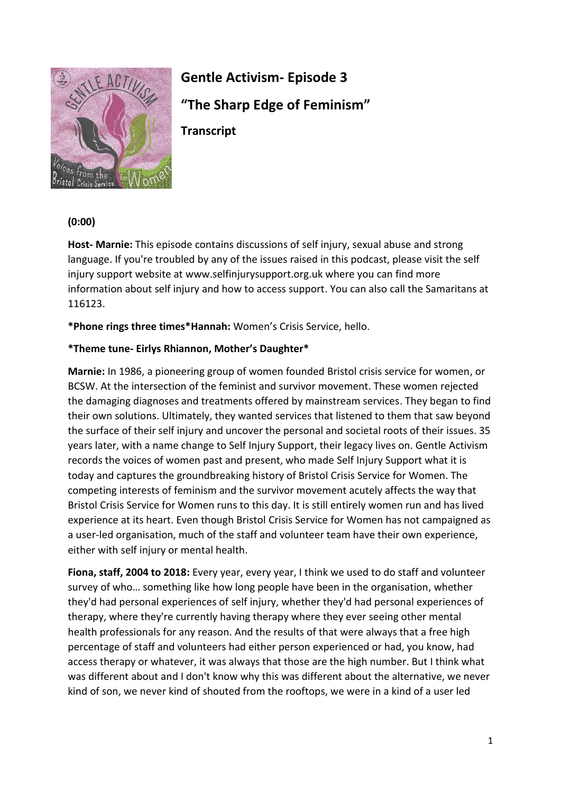

# **Gentle Activism- Episode 3 "The Sharp Edge of Feminism" Transcript**

# **(0:00)**

**Host- Marnie:** This episode contains discussions of self injury, sexual abuse and strong language. If you're troubled by any of the issues raised in this podcast, please visit the self injury support website at www.selfinjurysupport.org.uk where you can find more information about self injury and how to access support. You can also call the Samaritans at 116123.

**\*Phone rings three times\*Hannah:** Women's Crisis Service, hello.

#### **\*Theme tune- Eirlys Rhiannon, Mother's Daughter\***

**Marnie:** In 1986, a pioneering group of women founded Bristol crisis service for women, or BCSW. At the intersection of the feminist and survivor movement. These women rejected the damaging diagnoses and treatments offered by mainstream services. They began to find their own solutions. Ultimately, they wanted services that listened to them that saw beyond the surface of their self injury and uncover the personal and societal roots of their issues. 35 years later, with a name change to Self Injury Support, their legacy lives on. Gentle Activism records the voices of women past and present, who made Self Injury Support what it is today and captures the groundbreaking history of Bristol Crisis Service for Women. The competing interests of feminism and the survivor movement acutely affects the way that Bristol Crisis Service for Women runs to this day. It is still entirely women run and has lived experience at its heart. Even though Bristol Crisis Service for Women has not campaigned as a user-led organisation, much of the staff and volunteer team have their own experience, either with self injury or mental health.

**Fiona, staff, 2004 to 2018:** Every year, every year, I think we used to do staff and volunteer survey of who… something like how long people have been in the organisation, whether they'd had personal experiences of self injury, whether they'd had personal experiences of therapy, where they're currently having therapy where they ever seeing other mental health professionals for any reason. And the results of that were always that a free high percentage of staff and volunteers had either person experienced or had, you know, had access therapy or whatever, it was always that those are the high number. But I think what was different about and I don't know why this was different about the alternative, we never kind of son, we never kind of shouted from the rooftops, we were in a kind of a user led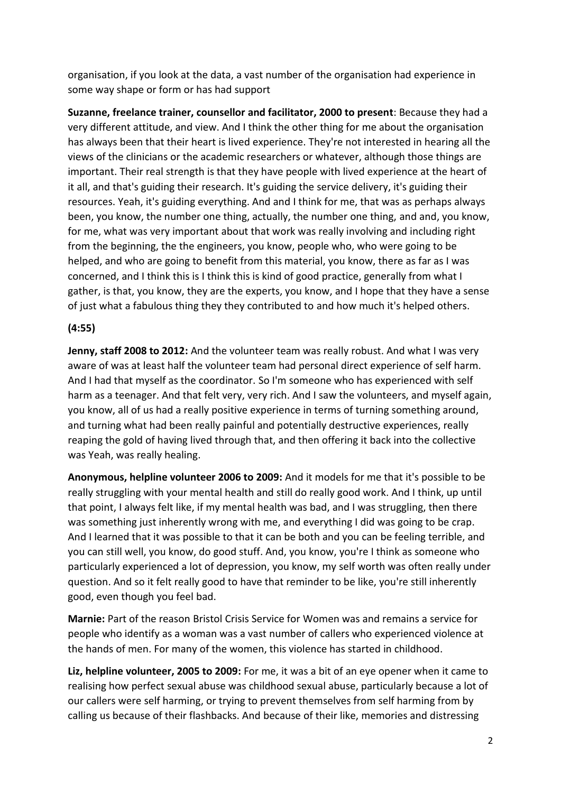organisation, if you look at the data, a vast number of the organisation had experience in some way shape or form or has had support

**Suzanne, freelance trainer, counsellor and facilitator, 2000 to present**: Because they had a very different attitude, and view. And I think the other thing for me about the organisation has always been that their heart is lived experience. They're not interested in hearing all the views of the clinicians or the academic researchers or whatever, although those things are important. Their real strength is that they have people with lived experience at the heart of it all, and that's guiding their research. It's guiding the service delivery, it's guiding their resources. Yeah, it's guiding everything. And and I think for me, that was as perhaps always been, you know, the number one thing, actually, the number one thing, and and, you know, for me, what was very important about that work was really involving and including right from the beginning, the the engineers, you know, people who, who were going to be helped, and who are going to benefit from this material, you know, there as far as I was concerned, and I think this is I think this is kind of good practice, generally from what I gather, is that, you know, they are the experts, you know, and I hope that they have a sense of just what a fabulous thing they they contributed to and how much it's helped others.

## **(4:55)**

**Jenny, staff 2008 to 2012:** And the volunteer team was really robust. And what I was very aware of was at least half the volunteer team had personal direct experience of self harm. And I had that myself as the coordinator. So I'm someone who has experienced with self harm as a teenager. And that felt very, very rich. And I saw the volunteers, and myself again, you know, all of us had a really positive experience in terms of turning something around, and turning what had been really painful and potentially destructive experiences, really reaping the gold of having lived through that, and then offering it back into the collective was Yeah, was really healing.

**Anonymous, helpline volunteer 2006 to 2009:** And it models for me that it's possible to be really struggling with your mental health and still do really good work. And I think, up until that point, I always felt like, if my mental health was bad, and I was struggling, then there was something just inherently wrong with me, and everything I did was going to be crap. And I learned that it was possible to that it can be both and you can be feeling terrible, and you can still well, you know, do good stuff. And, you know, you're I think as someone who particularly experienced a lot of depression, you know, my self worth was often really under question. And so it felt really good to have that reminder to be like, you're still inherently good, even though you feel bad.

**Marnie:** Part of the reason Bristol Crisis Service for Women was and remains a service for people who identify as a woman was a vast number of callers who experienced violence at the hands of men. For many of the women, this violence has started in childhood.

**Liz, helpline volunteer, 2005 to 2009:** For me, it was a bit of an eye opener when it came to realising how perfect sexual abuse was childhood sexual abuse, particularly because a lot of our callers were self harming, or trying to prevent themselves from self harming from by calling us because of their flashbacks. And because of their like, memories and distressing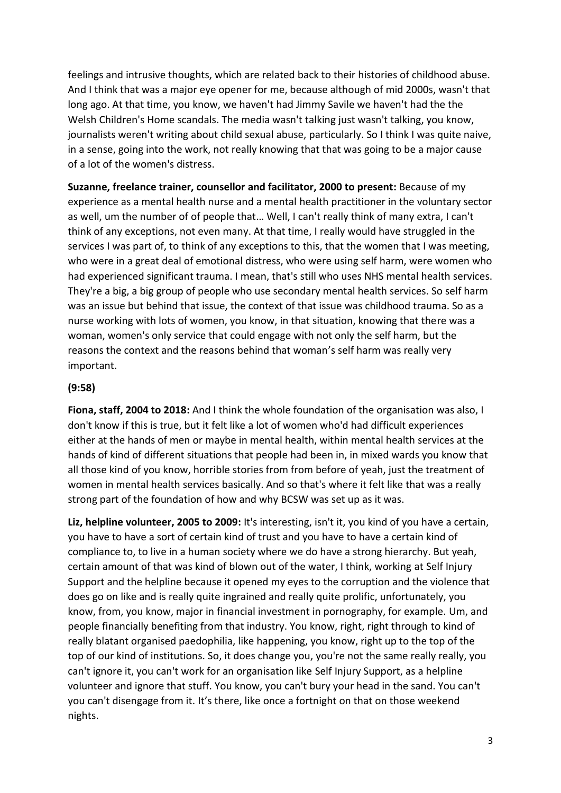feelings and intrusive thoughts, which are related back to their histories of childhood abuse. And I think that was a major eye opener for me, because although of mid 2000s, wasn't that long ago. At that time, you know, we haven't had Jimmy Savile we haven't had the the Welsh Children's Home scandals. The media wasn't talking just wasn't talking, you know, journalists weren't writing about child sexual abuse, particularly. So I think I was quite naive, in a sense, going into the work, not really knowing that that was going to be a major cause of a lot of the women's distress.

**Suzanne, freelance trainer, counsellor and facilitator, 2000 to present:** Because of my experience as a mental health nurse and a mental health practitioner in the voluntary sector as well, um the number of of people that… Well, I can't really think of many extra, I can't think of any exceptions, not even many. At that time, I really would have struggled in the services I was part of, to think of any exceptions to this, that the women that I was meeting, who were in a great deal of emotional distress, who were using self harm, were women who had experienced significant trauma. I mean, that's still who uses NHS mental health services. They're a big, a big group of people who use secondary mental health services. So self harm was an issue but behind that issue, the context of that issue was childhood trauma. So as a nurse working with lots of women, you know, in that situation, knowing that there was a woman, women's only service that could engage with not only the self harm, but the reasons the context and the reasons behind that woman's self harm was really very important.

#### **(9:58)**

**Fiona, staff, 2004 to 2018:** And I think the whole foundation of the organisation was also, I don't know if this is true, but it felt like a lot of women who'd had difficult experiences either at the hands of men or maybe in mental health, within mental health services at the hands of kind of different situations that people had been in, in mixed wards you know that all those kind of you know, horrible stories from from before of yeah, just the treatment of women in mental health services basically. And so that's where it felt like that was a really strong part of the foundation of how and why BCSW was set up as it was.

**Liz, helpline volunteer, 2005 to 2009:** It's interesting, isn't it, you kind of you have a certain, you have to have a sort of certain kind of trust and you have to have a certain kind of compliance to, to live in a human society where we do have a strong hierarchy. But yeah, certain amount of that was kind of blown out of the water, I think, working at Self Injury Support and the helpline because it opened my eyes to the corruption and the violence that does go on like and is really quite ingrained and really quite prolific, unfortunately, you know, from, you know, major in financial investment in pornography, for example. Um, and people financially benefiting from that industry. You know, right, right through to kind of really blatant organised paedophilia, like happening, you know, right up to the top of the top of our kind of institutions. So, it does change you, you're not the same really really, you can't ignore it, you can't work for an organisation like Self Injury Support, as a helpline volunteer and ignore that stuff. You know, you can't bury your head in the sand. You can't you can't disengage from it. It's there, like once a fortnight on that on those weekend nights.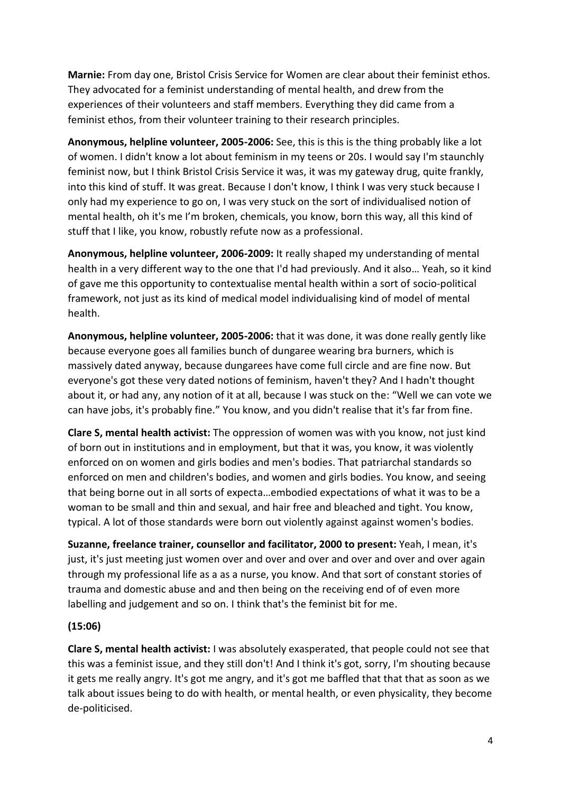**Marnie:** From day one, Bristol Crisis Service for Women are clear about their feminist ethos. They advocated for a feminist understanding of mental health, and drew from the experiences of their volunteers and staff members. Everything they did came from a feminist ethos, from their volunteer training to their research principles.

**Anonymous, helpline volunteer, 2005-2006:** See, this is this is the thing probably like a lot of women. I didn't know a lot about feminism in my teens or 20s. I would say I'm staunchly feminist now, but I think Bristol Crisis Service it was, it was my gateway drug, quite frankly, into this kind of stuff. It was great. Because I don't know, I think I was very stuck because I only had my experience to go on, I was very stuck on the sort of individualised notion of mental health, oh it's me I'm broken, chemicals, you know, born this way, all this kind of stuff that I like, you know, robustly refute now as a professional.

**Anonymous, helpline volunteer, 2006-2009:** It really shaped my understanding of mental health in a very different way to the one that I'd had previously. And it also… Yeah, so it kind of gave me this opportunity to contextualise mental health within a sort of socio-political framework, not just as its kind of medical model individualising kind of model of mental health.

**Anonymous, helpline volunteer, 2005-2006:** that it was done, it was done really gently like because everyone goes all families bunch of dungaree wearing bra burners, which is massively dated anyway, because dungarees have come full circle and are fine now. But everyone's got these very dated notions of feminism, haven't they? And I hadn't thought about it, or had any, any notion of it at all, because I was stuck on the: "Well we can vote we can have jobs, it's probably fine." You know, and you didn't realise that it's far from fine.

**Clare S, mental health activist:** The oppression of women was with you know, not just kind of born out in institutions and in employment, but that it was, you know, it was violently enforced on on women and girls bodies and men's bodies. That patriarchal standards so enforced on men and children's bodies, and women and girls bodies. You know, and seeing that being borne out in all sorts of expecta…embodied expectations of what it was to be a woman to be small and thin and sexual, and hair free and bleached and tight. You know, typical. A lot of those standards were born out violently against against women's bodies.

**Suzanne, freelance trainer, counsellor and facilitator, 2000 to present:** Yeah, I mean, it's just, it's just meeting just women over and over and over and over and over and over again through my professional life as a as a nurse, you know. And that sort of constant stories of trauma and domestic abuse and and then being on the receiving end of of even more labelling and judgement and so on. I think that's the feminist bit for me.

## **(15:06)**

**Clare S, mental health activist:** I was absolutely exasperated, that people could not see that this was a feminist issue, and they still don't! And I think it's got, sorry, I'm shouting because it gets me really angry. It's got me angry, and it's got me baffled that that that as soon as we talk about issues being to do with health, or mental health, or even physicality, they become de-politicised.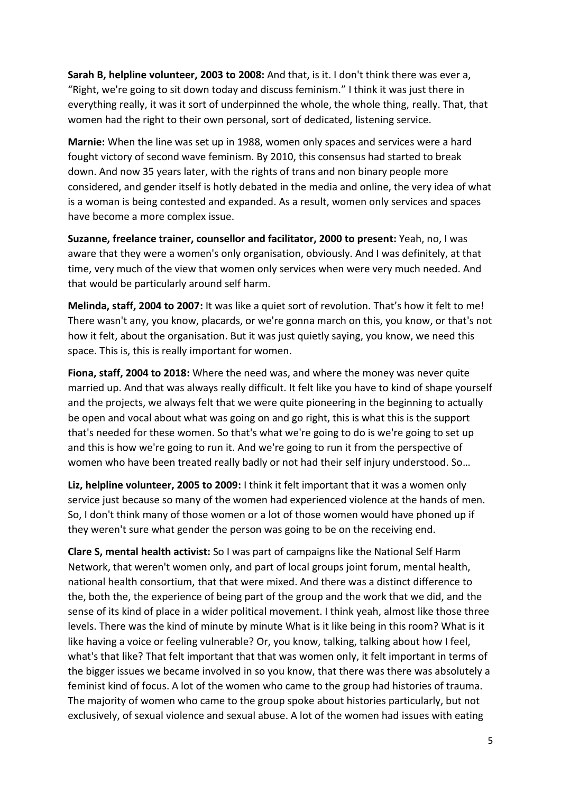**Sarah B, helpline volunteer, 2003 to 2008:** And that, is it. I don't think there was ever a, "Right, we're going to sit down today and discuss feminism." I think it was just there in everything really, it was it sort of underpinned the whole, the whole thing, really. That, that women had the right to their own personal, sort of dedicated, listening service.

**Marnie:** When the line was set up in 1988, women only spaces and services were a hard fought victory of second wave feminism. By 2010, this consensus had started to break down. And now 35 years later, with the rights of trans and non binary people more considered, and gender itself is hotly debated in the media and online, the very idea of what is a woman is being contested and expanded. As a result, women only services and spaces have become a more complex issue.

**Suzanne, freelance trainer, counsellor and facilitator, 2000 to present:** Yeah, no, I was aware that they were a women's only organisation, obviously. And I was definitely, at that time, very much of the view that women only services when were very much needed. And that would be particularly around self harm.

**Melinda, staff, 2004 to 2007:** It was like a quiet sort of revolution. That's how it felt to me! There wasn't any, you know, placards, or we're gonna march on this, you know, or that's not how it felt, about the organisation. But it was just quietly saying, you know, we need this space. This is, this is really important for women.

**Fiona, staff, 2004 to 2018:** Where the need was, and where the money was never quite married up. And that was always really difficult. It felt like you have to kind of shape yourself and the projects, we always felt that we were quite pioneering in the beginning to actually be open and vocal about what was going on and go right, this is what this is the support that's needed for these women. So that's what we're going to do is we're going to set up and this is how we're going to run it. And we're going to run it from the perspective of women who have been treated really badly or not had their self injury understood. So…

**Liz, helpline volunteer, 2005 to 2009:** I think it felt important that it was a women only service just because so many of the women had experienced violence at the hands of men. So, I don't think many of those women or a lot of those women would have phoned up if they weren't sure what gender the person was going to be on the receiving end.

**Clare S, mental health activist:** So I was part of campaigns like the National Self Harm Network, that weren't women only, and part of local groups joint forum, mental health, national health consortium, that that were mixed. And there was a distinct difference to the, both the, the experience of being part of the group and the work that we did, and the sense of its kind of place in a wider political movement. I think yeah, almost like those three levels. There was the kind of minute by minute What is it like being in this room? What is it like having a voice or feeling vulnerable? Or, you know, talking, talking about how I feel, what's that like? That felt important that that was women only, it felt important in terms of the bigger issues we became involved in so you know, that there was there was absolutely a feminist kind of focus. A lot of the women who came to the group had histories of trauma. The majority of women who came to the group spoke about histories particularly, but not exclusively, of sexual violence and sexual abuse. A lot of the women had issues with eating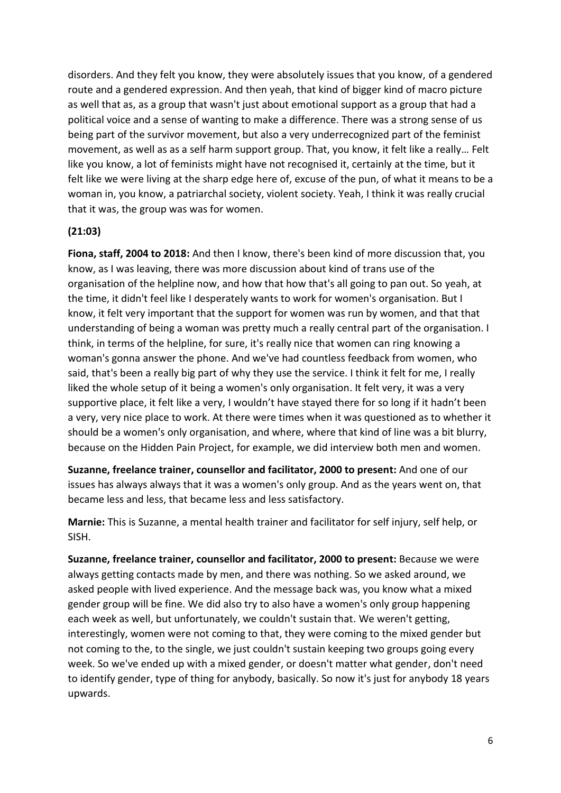disorders. And they felt you know, they were absolutely issues that you know, of a gendered route and a gendered expression. And then yeah, that kind of bigger kind of macro picture as well that as, as a group that wasn't just about emotional support as a group that had a political voice and a sense of wanting to make a difference. There was a strong sense of us being part of the survivor movement, but also a very underrecognized part of the feminist movement, as well as as a self harm support group. That, you know, it felt like a really… Felt like you know, a lot of feminists might have not recognised it, certainly at the time, but it felt like we were living at the sharp edge here of, excuse of the pun, of what it means to be a woman in, you know, a patriarchal society, violent society. Yeah, I think it was really crucial that it was, the group was was for women.

#### **(21:03)**

**Fiona, staff, 2004 to 2018:** And then I know, there's been kind of more discussion that, you know, as I was leaving, there was more discussion about kind of trans use of the organisation of the helpline now, and how that how that's all going to pan out. So yeah, at the time, it didn't feel like I desperately wants to work for women's organisation. But I know, it felt very important that the support for women was run by women, and that that understanding of being a woman was pretty much a really central part of the organisation. I think, in terms of the helpline, for sure, it's really nice that women can ring knowing a woman's gonna answer the phone. And we've had countless feedback from women, who said, that's been a really big part of why they use the service. I think it felt for me, I really liked the whole setup of it being a women's only organisation. It felt very, it was a very supportive place, it felt like a very, I wouldn't have stayed there for so long if it hadn't been a very, very nice place to work. At there were times when it was questioned as to whether it should be a women's only organisation, and where, where that kind of line was a bit blurry, because on the Hidden Pain Project, for example, we did interview both men and women.

**Suzanne, freelance trainer, counsellor and facilitator, 2000 to present:** And one of our issues has always always that it was a women's only group. And as the years went on, that became less and less, that became less and less satisfactory.

**Marnie:** This is Suzanne, a mental health trainer and facilitator for self injury, self help, or SISH.

**Suzanne, freelance trainer, counsellor and facilitator, 2000 to present:** Because we were always getting contacts made by men, and there was nothing. So we asked around, we asked people with lived experience. And the message back was, you know what a mixed gender group will be fine. We did also try to also have a women's only group happening each week as well, but unfortunately, we couldn't sustain that. We weren't getting, interestingly, women were not coming to that, they were coming to the mixed gender but not coming to the, to the single, we just couldn't sustain keeping two groups going every week. So we've ended up with a mixed gender, or doesn't matter what gender, don't need to identify gender, type of thing for anybody, basically. So now it's just for anybody 18 years upwards.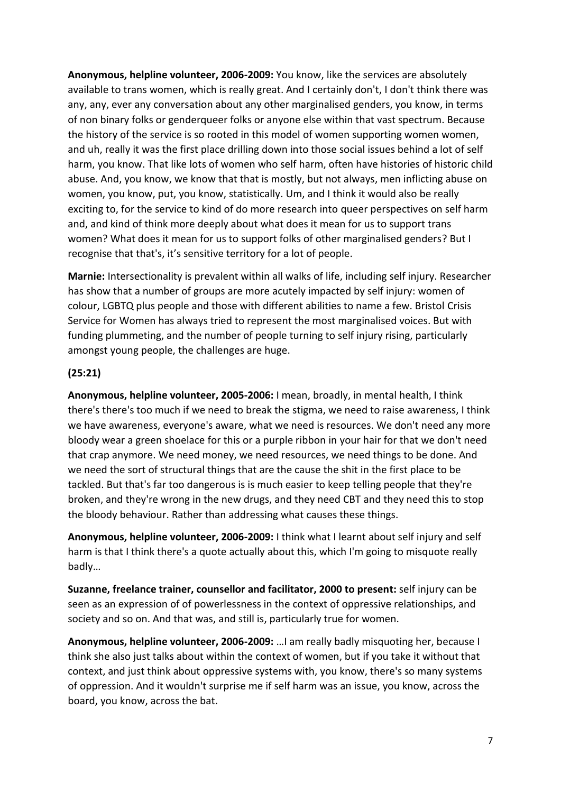**Anonymous, helpline volunteer, 2006-2009:** You know, like the services are absolutely available to trans women, which is really great. And I certainly don't, I don't think there was any, any, ever any conversation about any other marginalised genders, you know, in terms of non binary folks or genderqueer folks or anyone else within that vast spectrum. Because the history of the service is so rooted in this model of women supporting women women, and uh, really it was the first place drilling down into those social issues behind a lot of self harm, you know. That like lots of women who self harm, often have histories of historic child abuse. And, you know, we know that that is mostly, but not always, men inflicting abuse on women, you know, put, you know, statistically. Um, and I think it would also be really exciting to, for the service to kind of do more research into queer perspectives on self harm and, and kind of think more deeply about what does it mean for us to support trans women? What does it mean for us to support folks of other marginalised genders? But I recognise that that's, it's sensitive territory for a lot of people.

**Marnie:** Intersectionality is prevalent within all walks of life, including self injury. Researcher has show that a number of groups are more acutely impacted by self injury: women of colour, LGBTQ plus people and those with different abilities to name a few. Bristol Crisis Service for Women has always tried to represent the most marginalised voices. But with funding plummeting, and the number of people turning to self injury rising, particularly amongst young people, the challenges are huge.

#### **(25:21)**

**Anonymous, helpline volunteer, 2005-2006:** I mean, broadly, in mental health, I think there's there's too much if we need to break the stigma, we need to raise awareness, I think we have awareness, everyone's aware, what we need is resources. We don't need any more bloody wear a green shoelace for this or a purple ribbon in your hair for that we don't need that crap anymore. We need money, we need resources, we need things to be done. And we need the sort of structural things that are the cause the shit in the first place to be tackled. But that's far too dangerous is is much easier to keep telling people that they're broken, and they're wrong in the new drugs, and they need CBT and they need this to stop the bloody behaviour. Rather than addressing what causes these things.

**Anonymous, helpline volunteer, 2006-2009:** I think what I learnt about self injury and self harm is that I think there's a quote actually about this, which I'm going to misquote really badly…

**Suzanne, freelance trainer, counsellor and facilitator, 2000 to present:** self injury can be seen as an expression of of powerlessness in the context of oppressive relationships, and society and so on. And that was, and still is, particularly true for women.

**Anonymous, helpline volunteer, 2006-2009:** …I am really badly misquoting her, because I think she also just talks about within the context of women, but if you take it without that context, and just think about oppressive systems with, you know, there's so many systems of oppression. And it wouldn't surprise me if self harm was an issue, you know, across the board, you know, across the bat.